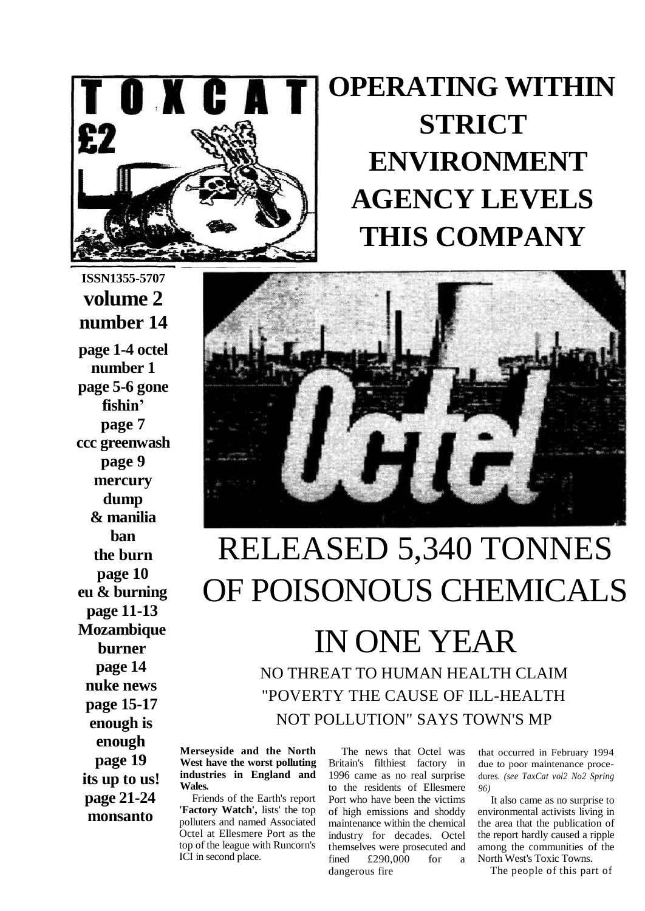

## **OPERATING WITHIN STRICT ENVIRONMENT AGENCY LEVELS THIS COMPANY**

### **ISSN1355-5707 volume 2 number 14**

**page 1-4 octel number 1 page 5-6 gone fishin' page 7 ccc greenwash page 9 mercury dump & manilia ban the burn page 10 eu & burning page 11-13 Mozambique burner page 14 nuke news page 15-17 enough is enough page 19 its up to us! page 21-24 monsanto**



# RELEASED 5,340 TONNES OF POISONOUS CHEMICALS

IN ONE YEAR NO THREAT TO HUMAN HEALTH CLAIM "POVERTY THE CAUSE OF ILL-HEALTH NOT POLLUTION" SAYS TOWN'S MP

**Merseyside and the North West have the worst polluting industries in England and Wales.**

Friends of the Earth's report **'Factory Watch',** lists' the top polluters and named Associated Octel at Ellesmere Port as the top of the league with Runcorn's ICI in second place.

The news that Octel was Britain's filthiest factory in 1996 came as no real surprise to the residents of Ellesmere Port who have been the victims of high emissions and shoddy maintenance within the chemical industry for decades. Octel themselves were prosecuted and fined £290,000 for a dangerous fire

that occurred in February 1994 due to poor maintenance procedures. *(see TaxCat vol2 No2 Spring 96)*

It also came as no surprise to environmental activists living in the area that the publication of the report hardly caused a ripple among the communities of the North West's Toxic Towns.

The people of this part of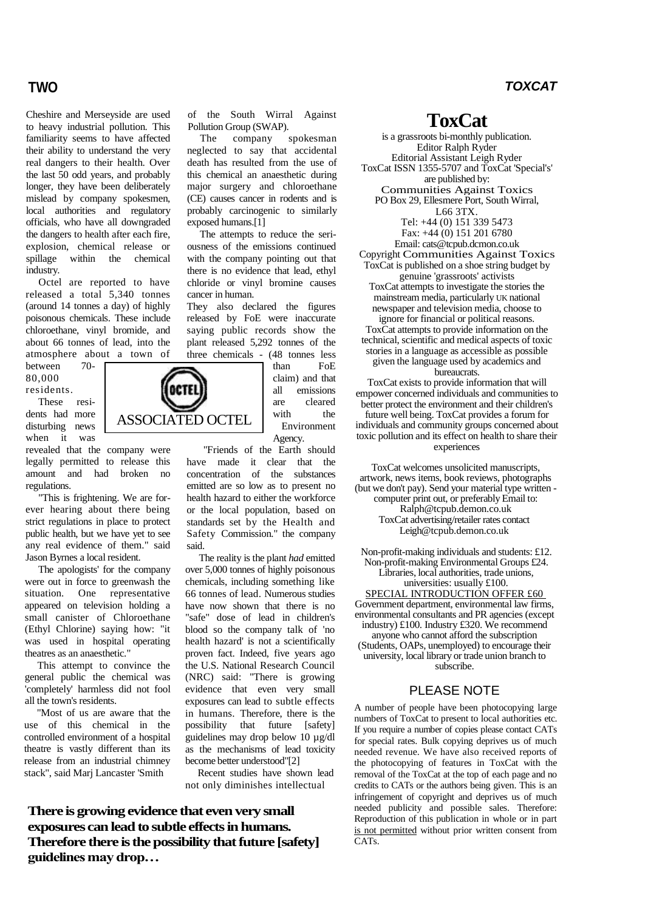Cheshire and Merseyside are used to heavy industrial pollution. This familiarity seems to have affected their ability to understand the very real dangers to their health. Over the last 50 odd years, and probably longer, they have been deliberately mislead by company spokesmen, local authorities and regulatory officials, who have all downgraded the dangers to health after each fire, explosion, chemical release or spillage within the chemical industry.

Octel are reported to have released a total 5,340 tonnes (around 14 tonnes a day) of highly poisonous chemicals. These include chloroethane, vinyl bromide, and about 66 tonnes of lead, into the atmosphere about a town of<br>hetween 70-

between 70- 80,000 residents.

These residents had more disturbing news when it was

revealed that the company were legally permitted to release this amount and had broken no regulations.

"This is frightening. We are forever hearing about there being strict regulations in place to protect public health, but we have yet to see any real evidence of them." said Jason Byrnes a local resident.

The apologists' for the company were out in force to greenwash the situation. One representative appeared on television holding a small canister of Chloroethane (Ethyl Chlorine) saying how: "it was used in hospital operating theatres as an anaesthetic."

This attempt to convince the general public the chemical was 'completely' harmless did not fool all the town's residents.

"Most of us are aware that the use of this chemical in the controlled environment of a hospital theatre is vastly different than its release from an industrial chimney stack", said Marj Lancaster 'Smith

of the South Wirral Against Pollution Group (SWAP).

The company spokesman neglected to say that accidental death has resulted from the use of this chemical an anaesthetic during major surgery and chloroethane (CE) causes cancer in rodents and is probably carcinogenic to similarly exposed humans.[1]

The attempts to reduce the seriousness of the emissions continued with the company pointing out that there is no evidence that lead, ethyl chloride or vinyl bromine causes cancer in human.

They also declared the figures released by FoE were inaccurate saying public records show the plant released 5,292 tonnes of the three chemicals - (48 tonnes less

> than FoE claim) and that all emissions are cleared with the Environment Agency.

"Friends of the Earth should have made it clear that the concentration of the substances emitted are so low as to present no health hazard to either the workforce or the local population, based on standards set by the Health and Safety Commission." the company said.

The reality is the plant *had* emitted over 5,000 tonnes of highly poisonous chemicals, including something like 66 tonnes of lead. Numerous studies have now shown that there is no "safe" dose of lead in children's blood so the company talk of 'no health hazard' is not a scientifically proven fact. Indeed, five years ago the U.S. National Research Council (NRC) said: "There is growing evidence that even very small exposures can lead to subtle effects in humans. Therefore, there is the possibility that future [safety] guidelines may drop below 10 µg/dl as the mechanisms of lead toxicity become better understood"[2]

Recent studies have shown lead not only diminishes intellectual

**There is growing evidence that even very small exposures can lead to subtle effects in humans. Therefore there is the possibility that future [safety] guidelines may drop…**

**ToxCat**

is a grassroots bi-monthly publication. Editor Ralph Ryder Editorial Assistant Leigh Ryder ToxCat ISSN 1355-5707 and ToxCat 'Special's' are published by: Communities Against Toxics PO Box 29, Ellesmere Port, South Wirral, L66 3TX. Tel: +44 (0) 151 339 5473 Fax: +44 (0) 151 201 6780 Email: cats@tcpub.dcmon.co.uk Copyright Communities Against Toxics ToxCat is published on a shoe string budget by genuine 'grassroots' activists ToxCat attempts to investigate the stories the mainstream media, particularly UK national newspaper and television media, choose to ignore for financial or political reasons. ToxCat attempts to provide information on the technical, scientific and medical aspects of toxic stories in a language as accessible as possible given the language used by academics and bureaucrats. ToxCat exists to provide information that will

empower concerned individuals and communities to better protect the environment and their children's future well being. ToxCat provides a forum for individuals and community groups concerned about toxic pollution and its effect on health to share their experiences

ToxCat welcomes unsolicited manuscripts, artwork, news items, book reviews, photographs (but we don't pay). Send your material type written computer print out, or preferably Email to: Ralph@tcpub.demon.co.uk ToxCat advertising/retailer rates contact Leigh@tcpub.demon.co.uk

Non-profit-making individuals and students: £12. Non-profit-making Environmental Groups £24. Libraries, local authorities, trade unions, universities: usually £100. SPECIAL INTRODUCTION OFFER £60 Government department, environmental law firms, environmental consultants and PR agencies (except industry) £100. Industry £320. We recommend anyone who cannot afford the subscription

(Students, OAPs, unemployed) to encourage their university, local library or trade union branch to subscribe.

### PLEASE NOTE

A number of people have been photocopying large numbers of ToxCat to present to local authorities etc. If you require a number of copies please contact CATs for special rates. Bulk copying deprives us of much needed revenue. We have also received reports of the photocopying of features in ToxCat with the removal of the ToxCat at the top of each page and no credits to CATs or the authors being given. This is an infringement of copyright and deprives us of much needed publicity and possible sales. Therefore: Reproduction of this publication in whole or in part is not permitted without prior written consent from CATs.

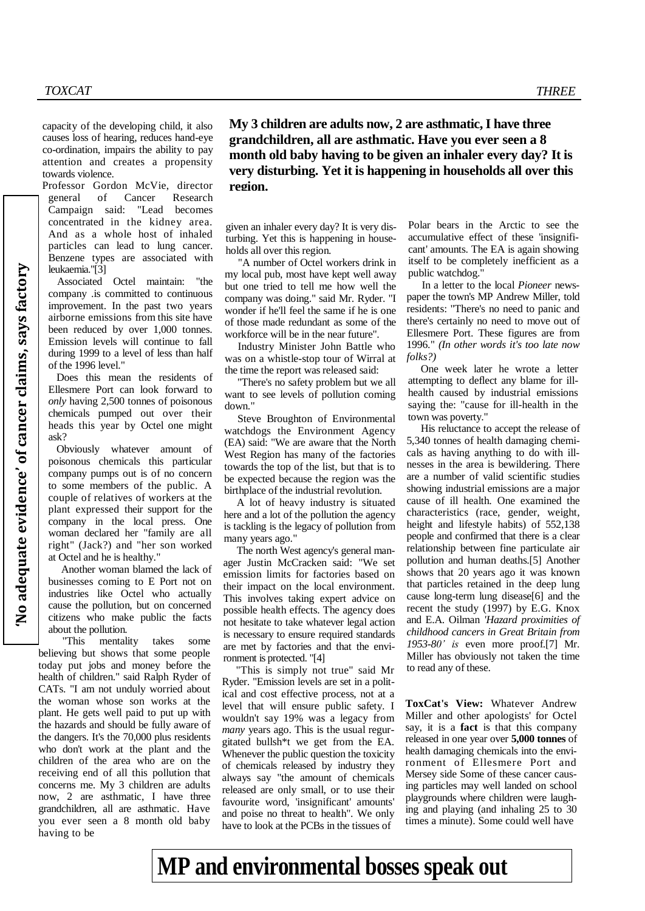capacity of the developing child, it also causes loss of hearing, reduces hand-eye co-ordination, impairs the ability to pay attention and creates a propensity towards violence.

Professor Gordon McVie, director general of Cancer Research Campaign said: "Lead becomes concentrated in the kidney area. And as a whole host of inhaled particles can lead to lung cancer. Benzene types are associated with leukaemia."[3]

Associated Octel maintain: "the company .is committed to continuous improvement. In the past two years airborne emissions from this site have been reduced by over 1,000 tonnes. Emission levels will continue to fall during 1999 to a level of less than half of the 1996 level."

Does this mean the residents of Ellesmere Port can look forward to *only* having 2,500 tonnes of poisonous chemicals pumped out over their heads this year by Octel one might ask?

Obviously whatever amount of poisonous chemicals this particular company pumps out is of no concern to some members of the public. A couple of relatives of workers at the plant expressed their support for the company in the local press. One woman declared her "family are all right" (Jack?) and "her son worked at Octel and he is healthy."

Another woman blamed the lack of businesses coming to E Port not on industries like Octel who actually cause the pollution, but on concerned citizens who make public the facts about the pollution.

"This mentality takes some believing but shows that some people today put jobs and money before the health of children." said Ralph Ryder of CATs. "I am not unduly worried about the woman whose son works at the plant. He gets well paid to put up with the hazards and should be fully aware of the dangers. It's the 70,000 plus residents who don't work at the plant and the children of the area who are on the receiving end of all this pollution that concerns me. My 3 children are adults now, 2 are asthmatic, I have three grandchildren, all are asthmatic. Have you ever seen a 8 month old baby having to be

**My 3 children are adults now, 2 are asthmatic, I have three grandchildren, all are asthmatic. Have you ever seen a 8 month old baby having to be given an inhaler every day? It is very disturbing. Yet it is happening in households all over this region.**

given an inhaler every day? It is very disturbing. Yet this is happening in households all over this region.

"A number of Octel workers drink in my local pub, most have kept well away but one tried to tell me how well the company was doing." said Mr. Ryder. "I wonder if he'll feel the same if he is one of those made redundant as some of the workforce will be in the near future".

Industry Minister John Battle who was on a whistle-stop tour of Wirral at the time the report was released said:

"There's no safety problem but we all want to see levels of pollution coming down.'

Steve Broughton of Environmental watchdogs the Environment Agency (EA) said: "We are aware that the North West Region has many of the factories towards the top of the list, but that is to be expected because the region was the birthplace of the industrial revolution.

A lot of heavy industry is situated here and a lot of the pollution the agency is tackling is the legacy of pollution from many years ago."

The north West agency's general manager Justin McCracken said: "We set emission limits for factories based on their impact on the local environment. This involves taking expert advice on possible health effects. The agency does not hesitate to take whatever legal action is necessary to ensure required standards are met by factories and that the environment is protected. "[4]

"This is simply not true" said Mr Ryder. "Emission levels are set in a political and cost effective process, not at a level that will ensure public safety. I wouldn't say 19% was a legacy from *many* years ago. This is the usual regurgitated bullsh\*t we get from the EA. Whenever the public question the toxicity of chemicals released by industry they always say "the amount of chemicals released are only small, or to use their favourite word, 'insignificant' amounts' and poise no threat to health". We only have to look at the PCBs in the tissues of

Polar bears in the Arctic to see the accumulative effect of these 'insignificant' amounts. The EA is again showing itself to be completely inefficient as a public watchdog."

In a letter to the local *Pioneer* newspaper the town's MP Andrew Miller, told residents: "There's no need to panic and there's certainly no need to move out of Ellesmere Port. These figures are from 1996." *(In other words it's too late now folks?)*

One week later he wrote a letter attempting to deflect any blame for illhealth caused by industrial emissions saying the: "cause for ill-health in the town was poverty."

His reluctance to accept the release of 5,340 tonnes of health damaging chemicals as having anything to do with illnesses in the area is bewildering. There are a number of valid scientific studies showing industrial emissions are a major cause of ill health. One examined the characteristics (race, gender, weight, height and lifestyle habits) of 552,138 people and confirmed that there is a clear relationship between fine particulate air pollution and human deaths.[5] Another shows that 20 years ago it was known that particles retained in the deep lung cause long-term lung disease[6] and the recent the study (1997) by E.G. Knox and E.A. Oilman *'Hazard proximities of childhood cancers in Great Britain from 1953-80' is* even more proof.[7] Mr. Miller has obviously not taken the time to read any of these.

**ToxCat's View:** Whatever Andrew Miller and other apologists' for Octel say, it is a **fact** is that this company released in one year over **5,000 tonnes** of health damaging chemicals into the environment of Ellesmere Port and Mersey side Some of these cancer causing particles may well landed on school playgrounds where children were laughing and playing (and inhaling 25 to 30 times a minute). Some could well have

**MP and environmental bosses speak out**